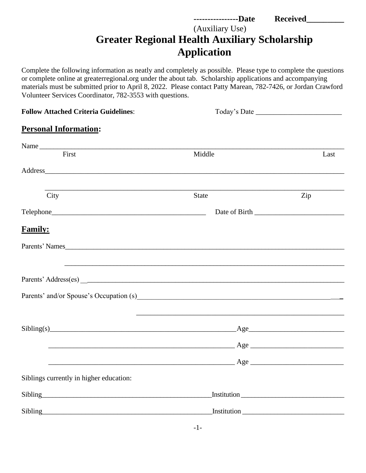## **----------------Date Received\_\_\_\_\_\_\_\_\_**  (Auxiliary Use) **Greater Regional Health Auxiliary Scholarship Application**

Complete the following information as neatly and completely as possible. Please type to complete the questions or complete online at greaterregional.org under the about tab. Scholarship applications and accompanying materials must be submitted prior to April 8, 2022. Please contact Patty Marean, 782-7426, or Jordan Crawford Volunteer Services Coordinator, 782-3553 with questions.

| <b>Follow Attached Criteria Guidelines:</b>                                                                                                                                                                                    | Today's Date                                                                                                                                                                                                                        |      |  |
|--------------------------------------------------------------------------------------------------------------------------------------------------------------------------------------------------------------------------------|-------------------------------------------------------------------------------------------------------------------------------------------------------------------------------------------------------------------------------------|------|--|
| <b>Personal Information:</b>                                                                                                                                                                                                   |                                                                                                                                                                                                                                     |      |  |
| Name                                                                                                                                                                                                                           |                                                                                                                                                                                                                                     |      |  |
| First                                                                                                                                                                                                                          | Middle                                                                                                                                                                                                                              | Last |  |
| Address and the contract of the contract of the contract of the contract of the contract of the contract of the contract of the contract of the contract of the contract of the contract of the contract of the contract of th |                                                                                                                                                                                                                                     |      |  |
| and the control of the control of the control of the control of the control of the control of the control of the<br>City                                                                                                       | <b>State</b>                                                                                                                                                                                                                        | Zip  |  |
|                                                                                                                                                                                                                                |                                                                                                                                                                                                                                     |      |  |
| <b>Family:</b>                                                                                                                                                                                                                 |                                                                                                                                                                                                                                     |      |  |
|                                                                                                                                                                                                                                |                                                                                                                                                                                                                                     |      |  |
|                                                                                                                                                                                                                                |                                                                                                                                                                                                                                     |      |  |
|                                                                                                                                                                                                                                |                                                                                                                                                                                                                                     |      |  |
| $Sibling(s)$ $\qquad \qquad \qquad \qquad \qquad \qquad \qquad \qquad \qquad \qquad \text{Age}$                                                                                                                                |                                                                                                                                                                                                                                     |      |  |
|                                                                                                                                                                                                                                | $\angle$ Age $\angle$                                                                                                                                                                                                               |      |  |
|                                                                                                                                                                                                                                | <u>Age</u> and the set of the set of the set of the set of the set of the set of the set of the set of the set of the set of the set of the set of the set of the set of the set of the set of the set of the set of the set of the |      |  |
| Siblings currently in higher education:                                                                                                                                                                                        |                                                                                                                                                                                                                                     |      |  |
| Sibling                                                                                                                                                                                                                        |                                                                                                                                                                                                                                     |      |  |
|                                                                                                                                                                                                                                |                                                                                                                                                                                                                                     |      |  |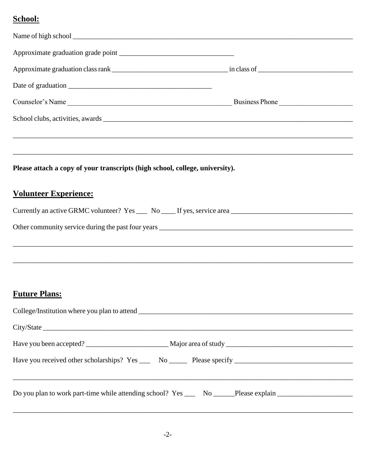## School:

| ,我们也不能会在这里,我们也不能会在这里,我们也不能会在这里,我们也不能会在这里,我们也不能会在这里,我们也不能会在这里,我们也不能会在这里,我们也不能会在这里                               |  |  |  |  |  |
|----------------------------------------------------------------------------------------------------------------|--|--|--|--|--|
| Please attach a copy of your transcripts (high school, college, university).                                   |  |  |  |  |  |
| <b>Volunteer Experience:</b>                                                                                   |  |  |  |  |  |
|                                                                                                                |  |  |  |  |  |
|                                                                                                                |  |  |  |  |  |
|                                                                                                                |  |  |  |  |  |
|                                                                                                                |  |  |  |  |  |
| <b>Future Plans:</b>                                                                                           |  |  |  |  |  |
|                                                                                                                |  |  |  |  |  |
|                                                                                                                |  |  |  |  |  |
|                                                                                                                |  |  |  |  |  |
| Have you received other scholarships? Yes ______ No _______ Please specify ___________________________________ |  |  |  |  |  |
| Do you plan to work part-time while attending school? Yes ______ No ______Please explain _____________________ |  |  |  |  |  |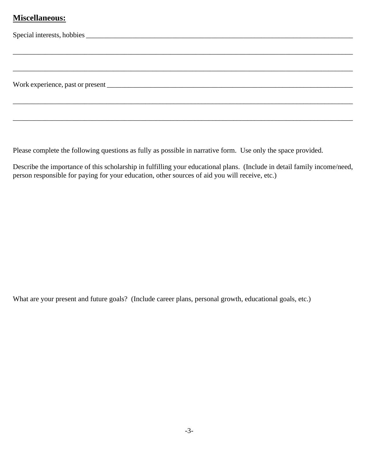## **Miscellaneous:**

Please complete the following questions as fully as possible in narrative form. Use only the space provided.

Describe the importance of this scholarship in fulfilling your educational plans. (Include in detail family income/need, person responsible for paying for your education, other sources of aid you will receive, etc.)

What are your present and future goals? (Include career plans, personal growth, educational goals, etc.)